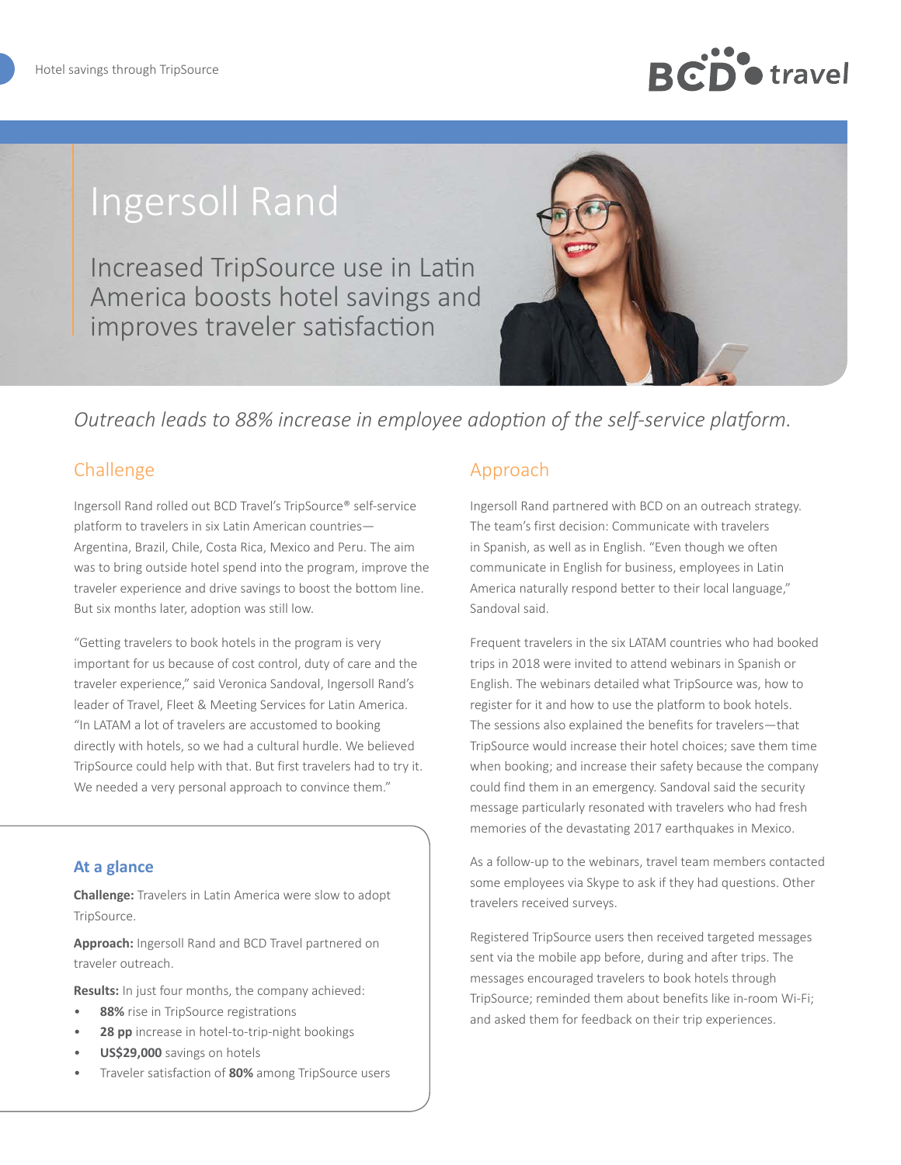# **D** o travel

# Ingersoll Rand

Increased TripSource use in Latin America boosts hotel savings and improves traveler satisfaction



## *Outreach leads to 88% increase in employee adoption of the self-service platform.*

### Challenge

Ingersoll Rand rolled out BCD Travel's TripSource® self-service platform to travelers in six Latin American countries— Argentina, Brazil, Chile, Costa Rica, Mexico and Peru. The aim was to bring outside hotel spend into the program, improve the traveler experience and drive savings to boost the bottom line. But six months later, adoption was still low.

"Getting travelers to book hotels in the program is very important for us because of cost control, duty of care and the traveler experience," said Veronica Sandoval, Ingersoll Rand's leader of Travel, Fleet & Meeting Services for Latin America. "In LATAM a lot of travelers are accustomed to booking directly with hotels, so we had a cultural hurdle. We believed TripSource could help with that. But first travelers had to try it. We needed a very personal approach to convince them."

#### **At a glance**

**Challenge:** Travelers in Latin America were slow to adopt TripSource.

**Approach:** Ingersoll Rand and BCD Travel partnered on traveler outreach.

**Results:** In just four months, the company achieved:

- 88% rise in TripSource registrations
- **28 pp** increase in hotel-to-trip-night bookings
- **US\$29,000** savings on hotels
- Traveler satisfaction of **80%** among TripSource users

#### Approach

Ingersoll Rand partnered with BCD on an outreach strategy. The team's first decision: Communicate with travelers in Spanish, as well as in English. "Even though we often communicate in English for business, employees in Latin America naturally respond better to their local language," Sandoval said.

Frequent travelers in the six LATAM countries who had booked trips in 2018 were invited to attend webinars in Spanish or English. The webinars detailed what TripSource was, how to register for it and how to use the platform to book hotels. The sessions also explained the benefits for travelers—that TripSource would increase their hotel choices; save them time when booking; and increase their safety because the company could find them in an emergency. Sandoval said the security message particularly resonated with travelers who had fresh memories of the devastating 2017 earthquakes in Mexico.

As a follow-up to the webinars, travel team members contacted some employees via Skype to ask if they had questions. Other travelers received surveys.

Registered TripSource users then received targeted messages sent via the mobile app before, during and after trips. The messages encouraged travelers to book hotels through TripSource; reminded them about benefits like in-room Wi-Fi; and asked them for feedback on their trip experiences.